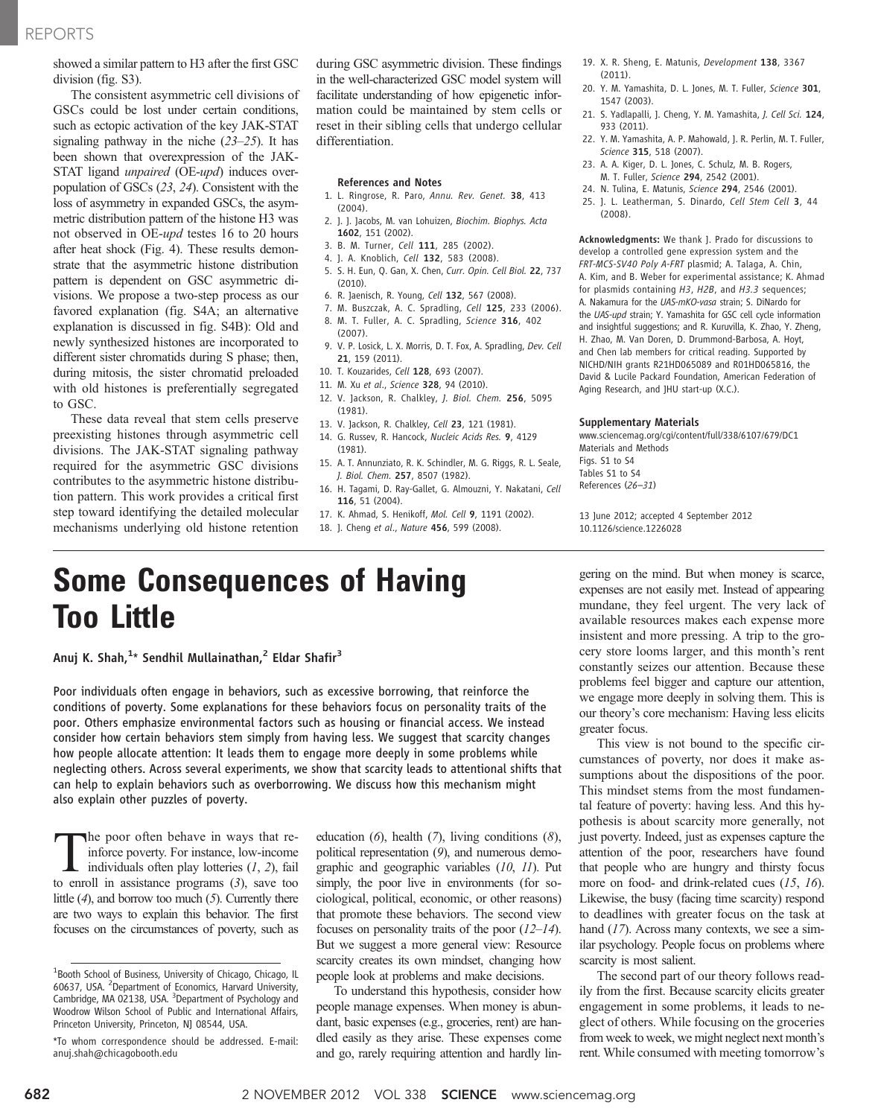## REPORTS

showed a similar pattern to H3 after the first GSC division (fig. S3).

The consistent asymmetric cell divisions of GSCs could be lost under certain conditions, such as ectopic activation of the key JAK-STAT signaling pathway in the niche (23–25). It has been shown that overexpression of the JAK-STAT ligand *unpaired* (OE-upd) induces overpopulation of GSCs (23, 24). Consistent with the loss of asymmetry in expanded GSCs, the asymmetric distribution pattern of the histone H3 was not observed in OE-upd testes 16 to 20 hours after heat shock (Fig. 4). These results demonstrate that the asymmetric histone distribution pattern is dependent on GSC asymmetric divisions. We propose a two-step process as our favored explanation (fig. S4A; an alternative explanation is discussed in fig. S4B): Old and newly synthesized histones are incorporated to different sister chromatids during S phase; then, during mitosis, the sister chromatid preloaded with old histones is preferentially segregated to GSC.

These data reveal that stem cells preserve preexisting histones through asymmetric cell divisions. The JAK-STAT signaling pathway required for the asymmetric GSC divisions contributes to the asymmetric histone distribution pattern. This work provides a critical first step toward identifying the detailed molecular mechanisms underlying old histone retention during GSC asymmetric division. These findings in the well-characterized GSC model system will facilitate understanding of how epigenetic information could be maintained by stem cells or reset in their sibling cells that undergo cellular differentiation.

#### References and Notes

- 1. L. Ringrose, R. Paro, Annu. Rev. Genet. 38, 413 (2004).
- 2. J. J. Jacobs, M. van Lohuizen, Biochim. Biophys. Acta 1602, 151 (2002).
- 3. B. M. Turner, Cell 111, 285 (2002).
- 4. J. A. Knoblich, Cell 132, 583 (2008).
- 5. S. H. Eun, Q. Gan, X. Chen, Curr. Opin. Cell Biol. 22, 737 (2010).
- 6. R. Jaenisch, R. Young, Cell 132, 567 (2008).
- 7. M. Buszczak, A. C. Spradling, Cell 125, 233 (2006). 8. M. T. Fuller, A. C. Spradling, Science 316, 402 (2007).
- 9. V. P. Losick, L. X. Morris, D. T. Fox, A. Spradling, Dev. Cell 21, 159 (2011).
- 10. T. Kouzarides, Cell 128, 693 (2007).
- 11. M. Xu et al., Science 328, 94 (2010).
- 12. V. Jackson, R. Chalkley, J. Biol. Chem. 256, 5095 (1981).
- 13. V. Jackson, R. Chalkley, Cell 23, 121 (1981).
- 14. G. Russev, R. Hancock, Nucleic Acids Res. 9, 4129 (1981).
- 15. A. T. Annunziato, R. K. Schindler, M. G. Riggs, R. L. Seale, J. Biol. Chem. 257, 8507 (1982).
- 16. H. Tagami, D. Ray-Gallet, G. Almouzni, Y. Nakatani, Cell 116, 51 (2004).
- 17. K. Ahmad, S. Henikoff, Mol. Cell 9, 1191 (2002).
- 18. J. Cheng et al., Nature 456, 599 (2008).

# Some Consequences of Having

Anuj K. Shah,<sup>1</sup>\* Sendhil Mullainathan,<sup>2</sup> Eldar Shafir<sup>3</sup>

Poor individuals often engage in behaviors, such as excessive borrowing, that reinforce the conditions of poverty. Some explanations for these behaviors focus on personality traits of the poor. Others emphasize environmental factors such as housing or financial access. We instead consider how certain behaviors stem simply from having less. We suggest that scarcity changes how people allocate attention: It leads them to engage more deeply in some problems while neglecting others. Across several experiments, we show that scarcity leads to attentional shifts that can help to explain behaviors such as overborrowing. We discuss how this mechanism might also explain other puzzles of poverty.

The poor often behave in ways that reinforce poverty. For instance, low-income individuals often play lotteries (1, 2), fail to enroll in assistance programs (3), save too little  $(4)$ , and borrow too much  $(5)$ . Currently there are two ways to explain this behavior. The first focuses on the circumstances of poverty, such as

education  $(6)$ , health  $(7)$ , living conditions  $(8)$ , political representation (9), and numerous demographic and geographic variables (10, 11). Put simply, the poor live in environments (for sociological, political, economic, or other reasons) that promote these behaviors. The second view focuses on personality traits of the poor  $(12-14)$ . But we suggest a more general view: Resource scarcity creates its own mindset, changing how people look at problems and make decisions.

To understand this hypothesis, consider how people manage expenses. When money is abundant, basic expenses (e.g., groceries, rent) are handled easily as they arise. These expenses come and go, rarely requiring attention and hardly lin-

- 19. X. R. Sheng, E. Matunis, Development 138, 3367 (2011).
- 20. Y. M. Yamashita, D. L. Jones, M. T. Fuller, Science 301, 1547 (2003).
- 21. S. Yadlapalli, J. Cheng, Y. M. Yamashita, J. Cell Sci. 124, 933 (2011).
- 22. Y. M. Yamashita, A. P. Mahowald, J. R. Perlin, M. T. Fuller, Science 315, 518 (2007).
- 23. A. A. Kiger, D. L. Jones, C. Schulz, M. B. Rogers, M. T. Fuller, Science 294, 2542 (2001).
- 24. N. Tulina, E. Matunis, Science 294, 2546 (2001).
- 25. J. L. Leatherman, S. Dinardo, Cell Stem Cell 3, 44 (2008).

Acknowledgments: We thank J. Prado for discussions to develop a controlled gene expression system and the FRT-MCS-SV40 Poly A-FRT plasmid; A. Talaga, A. Chin, A. Kim, and B. Weber for experimental assistance; K. Ahmad for plasmids containing H3, H2B, and H3.3 sequences; A. Nakamura for the UAS-mKO-vasa strain; S. DiNardo for the UAS-upd strain; Y. Yamashita for GSC cell cycle information and insightful suggestions; and R. Kuruvilla, K. Zhao, Y. Zheng, H. Zhao, M. Van Doren, D. Drummond-Barbosa, A. Hoyt, and Chen lab members for critical reading. Supported by NICHD/NIH grants R21HD065089 and R01HD065816, the David & Lucile Packard Foundation, American Federation of Aging Research, and JHU start-up (X.C.).

#### Supplementary Materials

www.sciencemag.org/cgi/content/full/338/6107/679/DC1 Materials and Methods Figs. S1 to S4 Tables S1 to S4 References (26–31)

13 June 2012; accepted 4 September 2012 10.1126/science.1226028

gering on the mind. But when money is scarce, expenses are not easily met. Instead of appearing mundane, they feel urgent. The very lack of available resources makes each expense more insistent and more pressing. A trip to the grocery store looms larger, and this month's rent constantly seizes our attention. Because these problems feel bigger and capture our attention, we engage more deeply in solving them. This is our theory's core mechanism: Having less elicits greater focus.

This view is not bound to the specific circumstances of poverty, nor does it make assumptions about the dispositions of the poor. This mindset stems from the most fundamental feature of poverty: having less. And this hypothesis is about scarcity more generally, not just poverty. Indeed, just as expenses capture the attention of the poor, researchers have found that people who are hungry and thirsty focus more on food- and drink-related cues (15, 16). Likewise, the busy (facing time scarcity) respond to deadlines with greater focus on the task at hand (17). Across many contexts, we see a similar psychology. People focus on problems where scarcity is most salient.

The second part of our theory follows readily from the first. Because scarcity elicits greater engagement in some problems, it leads to neglect of others. While focusing on the groceries from week to week, we might neglect next month's rent. While consumed with meeting tomorrow's

<sup>&</sup>lt;sup>1</sup> Booth School of Business, University of Chicago, Chicago, IL 60637, USA. <sup>2</sup> Department of Economics, Harvard University, Cambridge, MA 02138, USA. <sup>3</sup>Department of Psychology and Woodrow Wilson School of Public and International Affairs, Princeton University, Princeton, NJ 08544, USA.

<sup>\*</sup>To whom correspondence should be addressed. E-mail: anuj.shah@chicagobooth.edu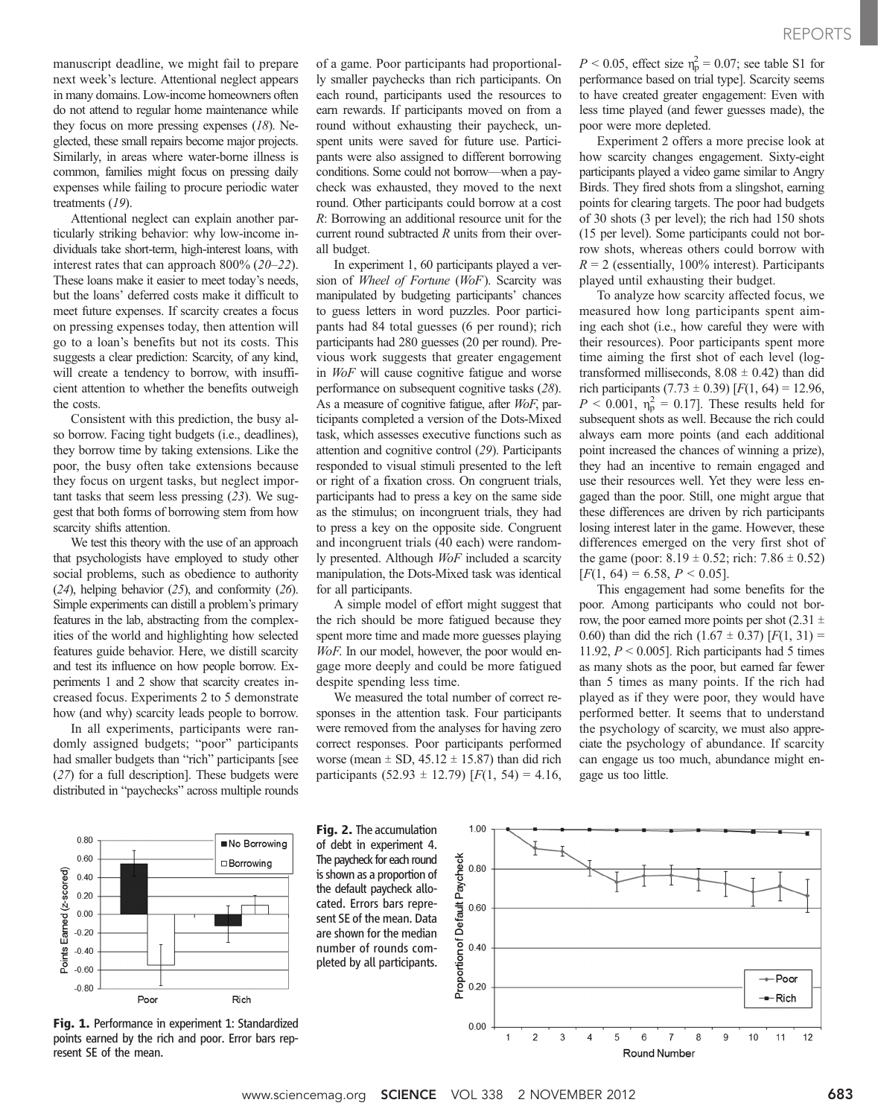manuscript deadline, we might fail to prepare next week's lecture. Attentional neglect appears in many domains. Low-income homeowners often do not attend to regular home maintenance while they focus on more pressing expenses  $(18)$ . Neglected, these small repairs become major projects. Similarly, in areas where water-borne illness is common, families might focus on pressing daily expenses while failing to procure periodic water treatments (19).

Attentional neglect can explain another particularly striking behavior: why low-income individuals take short-term, high-interest loans, with interest rates that can approach 800% (20–22). These loans make it easier to meet today's needs, but the loans' deferred costs make it difficult to meet future expenses. If scarcity creates a focus on pressing expenses today, then attention will go to a loan's benefits but not its costs. This suggests a clear prediction: Scarcity, of any kind, will create a tendency to borrow, with insufficient attention to whether the benefits outweigh the costs.

Consistent with this prediction, the busy also borrow. Facing tight budgets (i.e., deadlines), they borrow time by taking extensions. Like the poor, the busy often take extensions because they focus on urgent tasks, but neglect important tasks that seem less pressing (23). We suggest that both forms of borrowing stem from how scarcity shifts attention.

We test this theory with the use of an approach that psychologists have employed to study other social problems, such as obedience to authority (24), helping behavior (25), and conformity (26). Simple experiments can distill a problem's primary features in the lab, abstracting from the complexities of the world and highlighting how selected features guide behavior. Here, we distill scarcity and test its influence on how people borrow. Experiments 1 and 2 show that scarcity creates increased focus. Experiments 2 to 5 demonstrate how (and why) scarcity leads people to borrow.

In all experiments, participants were randomly assigned budgets; "poor" participants had smaller budgets than "rich" participants [see (27) for a full description]. These budgets were distributed in "paychecks" across multiple rounds

of a game. Poor participants had proportionally smaller paychecks than rich participants. On each round, participants used the resources to earn rewards. If participants moved on from a round without exhausting their paycheck, unspent units were saved for future use. Participants were also assigned to different borrowing conditions. Some could not borrow—when a paycheck was exhausted, they moved to the next round. Other participants could borrow at a cost R: Borrowing an additional resource unit for the current round subtracted  $R$  units from their overall budget.

In experiment 1, 60 participants played a version of Wheel of Fortune (WoF). Scarcity was manipulated by budgeting participants' chances to guess letters in word puzzles. Poor participants had 84 total guesses (6 per round); rich participants had 280 guesses (20 per round). Previous work suggests that greater engagement in WoF will cause cognitive fatigue and worse performance on subsequent cognitive tasks (28). As a measure of cognitive fatigue, after WoF, participants completed a version of the Dots-Mixed task, which assesses executive functions such as attention and cognitive control (29). Participants responded to visual stimuli presented to the left or right of a fixation cross. On congruent trials, participants had to press a key on the same side as the stimulus; on incongruent trials, they had to press a key on the opposite side. Congruent and incongruent trials (40 each) were randomly presented. Although WoF included a scarcity manipulation, the Dots-Mixed task was identical for all participants.

A simple model of effort might suggest that the rich should be more fatigued because they spent more time and made more guesses playing WoF. In our model, however, the poor would engage more deeply and could be more fatigued despite spending less time.

We measured the total number of correct responses in the attention task. Four participants were removed from the analyses for having zero correct responses. Poor participants performed worse (mean  $\pm$  SD, 45.12  $\pm$  15.87) than did rich participants  $(52.93 \pm 12.79)$  [F(1, 54) = 4.16,

 $P < 0.05$ , effect size  $\eta_p^2 = 0.07$ ; see table S1 for performance based on trial type]. Scarcity seems to have created greater engagement: Even with less time played (and fewer guesses made), the poor were more depleted.

Experiment 2 offers a more precise look at how scarcity changes engagement. Sixty-eight participants played a video game similar to Angry Birds. They fired shots from a slingshot, earning points for clearing targets. The poor had budgets of 30 shots (3 per level); the rich had 150 shots (15 per level). Some participants could not borrow shots, whereas others could borrow with  $R = 2$  (essentially, 100% interest). Participants played until exhausting their budget.

To analyze how scarcity affected focus, we measured how long participants spent aiming each shot (i.e., how careful they were with their resources). Poor participants spent more time aiming the first shot of each level (logtransformed milliseconds,  $8.08 \pm 0.42$ ) than did rich participants (7.73  $\pm$  0.39) [ $F(1, 64) = 12.96$ ,  $P < 0.001$ ,  $\eta_p^2 = 0.17$ ]. These results held for subsequent shots as well. Because the rich could always earn more points (and each additional point increased the chances of winning a prize), they had an incentive to remain engaged and use their resources well. Yet they were less engaged than the poor. Still, one might argue that these differences are driven by rich participants losing interest later in the game. However, these differences emerged on the very first shot of the game (poor:  $8.19 \pm 0.52$ ; rich:  $7.86 \pm 0.52$ )  $[F(1, 64) = 6.58, P \le 0.05]$ .

This engagement had some benefits for the poor. Among participants who could not borrow, the poor earned more points per shot  $(2.31 \pm 1)$ 0.60) than did the rich  $(1.67 \pm 0.37)$  [F(1, 31) = 11.92,  $P < 0.005$ ]. Rich participants had 5 times as many shots as the poor, but earned far fewer than 5 times as many points. If the rich had played as if they were poor, they would have performed better. It seems that to understand the psychology of scarcity, we must also appreciate the psychology of abundance. If scarcity can engage us too much, abundance might engage us too little.



Fig. 1. Performance in experiment 1: Standardized points earned by the rich and poor. Error bars represent SE of the mean.

Fig. 2. The accumulation of debt in experiment 4. The paycheck for each round is shown as a proportion of the default paycheck allocated. Errors bars represent SE of the mean. Data are shown for the median number of rounds completed by all participants.

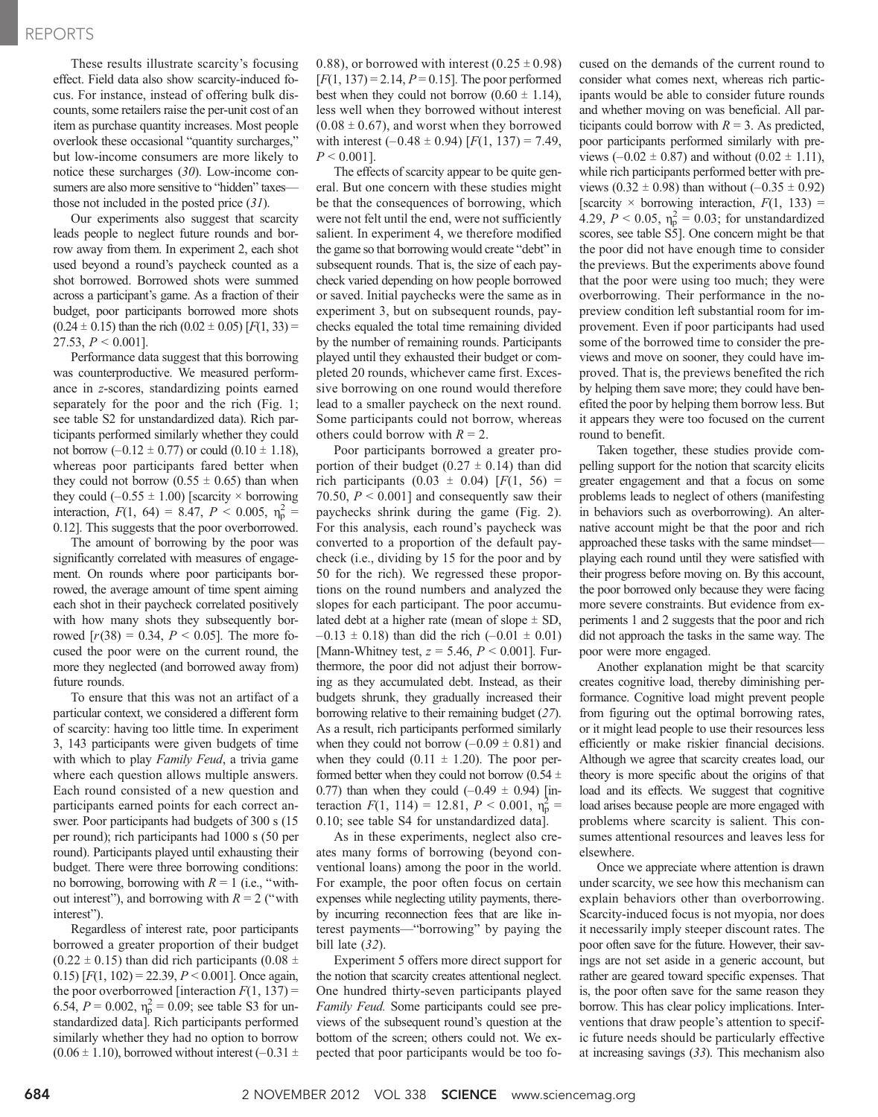## REPORTS

These results illustrate scarcity's focusing effect. Field data also show scarcity-induced focus. For instance, instead of offering bulk discounts, some retailers raise the per-unit cost of an item as purchase quantity increases. Most people overlook these occasional "quantity surcharges," but low-income consumers are more likely to notice these surcharges (30). Low-income consumers are also more sensitive to "hidden" taxes those not included in the posted price (31).

Our experiments also suggest that scarcity leads people to neglect future rounds and borrow away from them. In experiment 2, each shot used beyond a round's paycheck counted as a shot borrowed. Borrowed shots were summed across a participant's game. As a fraction of their budget, poor participants borrowed more shots  $(0.24 \pm 0.15)$  than the rich  $(0.02 \pm 0.05)$  [F(1, 33) = 27.53,  $P \le 0.001$ ].

Performance data suggest that this borrowing was counterproductive. We measured performance in z-scores, standardizing points earned separately for the poor and the rich (Fig. 1; see table S2 for unstandardized data). Rich participants performed similarly whether they could not borrow  $(-0.12 \pm 0.77)$  or could  $(0.10 \pm 1.18)$ , whereas poor participants fared better when they could not borrow  $(0.55 \pm 0.65)$  than when they could  $(-0.55 \pm 1.00)$  [scarcity × borrowing interaction,  $F(1, 64) = 8.47, P < 0.005, \eta_p^2 =$ 0.12]. This suggests that the poor overborrowed.

The amount of borrowing by the poor was significantly correlated with measures of engagement. On rounds where poor participants borrowed, the average amount of time spent aiming each shot in their paycheck correlated positively with how many shots they subsequently borrowed  $[r(38) = 0.34, P < 0.05]$ . The more focused the poor were on the current round, the more they neglected (and borrowed away from) future rounds.

To ensure that this was not an artifact of a particular context, we considered a different form of scarcity: having too little time. In experiment 3, 143 participants were given budgets of time with which to play Family Feud, a trivia game where each question allows multiple answers. Each round consisted of a new question and participants earned points for each correct answer. Poor participants had budgets of 300 s (15 per round); rich participants had 1000 s (50 per round). Participants played until exhausting their budget. There were three borrowing conditions: no borrowing, borrowing with  $R = 1$  (i.e., "without interest"), and borrowing with  $R = 2$  ("with"). interest").

Regardless of interest rate, poor participants borrowed a greater proportion of their budget  $(0.22 \pm 0.15)$  than did rich participants  $(0.08 \pm 0.08)$ 0.15)  $[F(1, 102) = 22.39, P \le 0.001]$ . Once again, the poor overborrowed [interaction  $F(1, 137)$  = 6.54,  $P = 0.002$ ,  $\eta_p^2 = 0.09$ ; see table S3 for unstandardized data]. Rich participants performed similarly whether they had no option to borrow  $(0.06 \pm 1.10)$ , borrowed without interest  $(-0.31 \pm 1.10)$ 

0.88), or borrowed with interest  $(0.25 \pm 0.98)$  $[F(1, 137) = 2.14, P = 0.15]$ . The poor performed best when they could not borrow  $(0.60 \pm 1.14)$ , less well when they borrowed without interest  $(0.08 \pm 0.67)$ , and worst when they borrowed with interest  $(-0.48 \pm 0.94)$  [F(1, 137) = 7.49,  $P < 0.001$ ].

The effects of scarcity appear to be quite general. But one concern with these studies might be that the consequences of borrowing, which were not felt until the end, were not sufficiently salient. In experiment 4, we therefore modified the game so that borrowing would create "debt" in subsequent rounds. That is, the size of each paycheck varied depending on how people borrowed or saved. Initial paychecks were the same as in experiment 3, but on subsequent rounds, paychecks equaled the total time remaining divided by the number of remaining rounds. Participants played until they exhausted their budget or completed 20 rounds, whichever came first. Excessive borrowing on one round would therefore lead to a smaller paycheck on the next round. Some participants could not borrow, whereas others could borrow with  $R = 2$ .

Poor participants borrowed a greater proportion of their budget  $(0.27 \pm 0.14)$  than did rich participants  $(0.03 \pm 0.04)$  [F(1, 56) = 70.50,  $P \le 0.001$ ] and consequently saw their paychecks shrink during the game (Fig. 2). For this analysis, each round's paycheck was converted to a proportion of the default paycheck (i.e., dividing by 15 for the poor and by 50 for the rich). We regressed these proportions on the round numbers and analyzed the slopes for each participant. The poor accumulated debt at a higher rate (mean of slope  $\pm$  SD,  $-0.13 \pm 0.18$ ) than did the rich  $(-0.01 \pm 0.01)$ [Mann-Whitney test,  $z = 5.46$ ,  $P < 0.001$ ]. Furthermore, the poor did not adjust their borrowing as they accumulated debt. Instead, as their budgets shrunk, they gradually increased their borrowing relative to their remaining budget (27). As a result, rich participants performed similarly when they could not borrow  $(-0.09 \pm 0.81)$  and when they could  $(0.11 \pm 1.20)$ . The poor performed better when they could not borrow (0.54  $\pm$ 0.77) than when they could  $(-0.49 \pm 0.94)$  [interaction  $F(1, 114) = 12.81, P < 0.001, \eta_p^2 =$ 0.10; see table S4 for unstandardized data].

As in these experiments, neglect also creates many forms of borrowing (beyond conventional loans) among the poor in the world. For example, the poor often focus on certain expenses while neglecting utility payments, thereby incurring reconnection fees that are like interest payments—"borrowing" by paying the bill late (32).

Experiment 5 offers more direct support for the notion that scarcity creates attentional neglect. One hundred thirty-seven participants played Family Feud. Some participants could see previews of the subsequent round's question at the bottom of the screen; others could not. We expected that poor participants would be too focused on the demands of the current round to consider what comes next, whereas rich participants would be able to consider future rounds and whether moving on was beneficial. All participants could borrow with  $R = 3$ . As predicted, poor participants performed similarly with previews  $(-0.02 \pm 0.87)$  and without  $(0.02 \pm 1.11)$ , while rich participants performed better with previews (0.32  $\pm$  0.98) than without (–0.35  $\pm$  0.92) [scarcity  $\times$  borrowing interaction,  $F(1, 133) =$ 4.29,  $P < 0.05$ ,  $\eta_p^2 = 0.03$ ; for unstandardized scores, see table S5]. One concern might be that the poor did not have enough time to consider the previews. But the experiments above found that the poor were using too much; they were overborrowing. Their performance in the nopreview condition left substantial room for improvement. Even if poor participants had used some of the borrowed time to consider the previews and move on sooner, they could have improved. That is, the previews benefited the rich by helping them save more; they could have benefited the poor by helping them borrow less. But it appears they were too focused on the current round to benefit.

Taken together, these studies provide compelling support for the notion that scarcity elicits greater engagement and that a focus on some problems leads to neglect of others (manifesting in behaviors such as overborrowing). An alternative account might be that the poor and rich approached these tasks with the same mindset playing each round until they were satisfied with their progress before moving on. By this account, the poor borrowed only because they were facing more severe constraints. But evidence from experiments 1 and 2 suggests that the poor and rich did not approach the tasks in the same way. The poor were more engaged.

Another explanation might be that scarcity creates cognitive load, thereby diminishing performance. Cognitive load might prevent people from figuring out the optimal borrowing rates, or it might lead people to use their resources less efficiently or make riskier financial decisions. Although we agree that scarcity creates load, our theory is more specific about the origins of that load and its effects. We suggest that cognitive load arises because people are more engaged with problems where scarcity is salient. This consumes attentional resources and leaves less for elsewhere.

Once we appreciate where attention is drawn under scarcity, we see how this mechanism can explain behaviors other than overborrowing. Scarcity-induced focus is not myopia, nor does it necessarily imply steeper discount rates. The poor often save for the future. However, their savings are not set aside in a generic account, but rather are geared toward specific expenses. That is, the poor often save for the same reason they borrow. This has clear policy implications. Interventions that draw people's attention to specific future needs should be particularly effective at increasing savings (33). This mechanism also